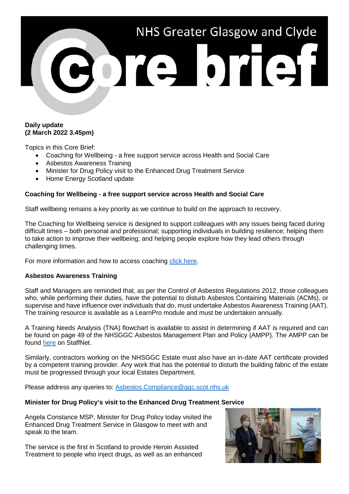

## **Daily update (2 March 2022 3.45pm)**

Topics in this Core Brief:

- Coaching for Wellbeing a free support service across Health and Social Care
- Asbestos Awareness Training
- Minister for Drug Policy visit to the Enhanced Drug Treatment Service
- Home Energy Scotland update

# **Coaching for Wellbeing - a free support service across Health and Social Care**

Staff wellbeing remains a key priority as we continue to build on the approach to recovery.

The Coaching for Wellbeing service is designed to support colleagues with any issues being faced during difficult times – both personal and professional; supporting individuals in building resilience; helping them to take action to improve their wellbeing; and helping people explore how they lead others through challenging times.

For more information and how to access coaching [click here.](http://www.staffnet.ggc.scot.nhs.uk/Corporate%20Services/Communications/Hot%20Topics/Documents/Coaching%20for%20Wellbeing%20Feb%202022.pdf)

### **Asbestos Awareness Training**

Staff and Managers are reminded that, as per the Control of Asbestos Regulations 2012, those colleagues who, while performing their duties, have the potential to disturb Asbestos Containing Materials (ACMs), or supervise and have influence over individuals that do, must undertake Asbestos Awareness Training (AAT). The training resource is available as a LearnPro module and must be undertaken annually.

A Training Needs Analysis (TNA) flowchart is available to assist in determining if AAT is required and can be found on page 49 of the NHSGGC Asbestos Management Plan and Policy (AMPP). The AMPP can be found [here](http://www.staffnet.ggc.scot.nhs.uk/Acute/Facilities/Estates/Documents/Asbestos%20%20Management%20Plan%20%20Policy%202020-21%20Ver%202.pdf) on StaffNet.

Similarly, contractors working on the NHSGGC Estate must also have an in-date AAT certificate provided by a competent training provider. Any work that has the potential to disturb the building fabric of the estate must be progressed through your local Estates Department.

Please address any queries to: [Asbestos.Compliance@ggc.scot.nhs.uk](mailto:Asbestos.Compliance@ggc.scot.nhs.uk)

### **Minister for Drug Policy's visit to the Enhanced Drug Treatment Service**

Angela Constance MSP, Minister for Drug Policy today visited the Enhanced Drug Treatment Service in Glasgow to meet with and speak to the team.

The service is the first in Scotland to provide Heroin Assisted Treatment to people who inject drugs, as well as an enhanced